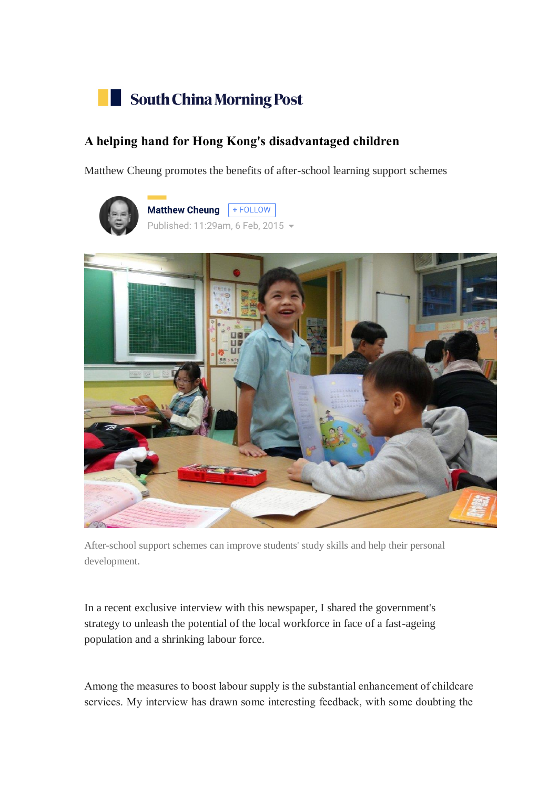

## **A helping hand for Hong Kong's disadvantaged children**

Matthew Cheung promotes the benefits of after-school learning support schemes





After-school support schemes can improve students' study skills and help their personal development.

In a recent exclusive interview with this newspaper, I shared the government's strategy to unleash the potential of the local workforce in face of a fast-ageing population and a shrinking labour force.

Among the measures to boost labour supply is the substantial enhancement of childcare services. My interview has drawn some interesting feedback, with some doubting the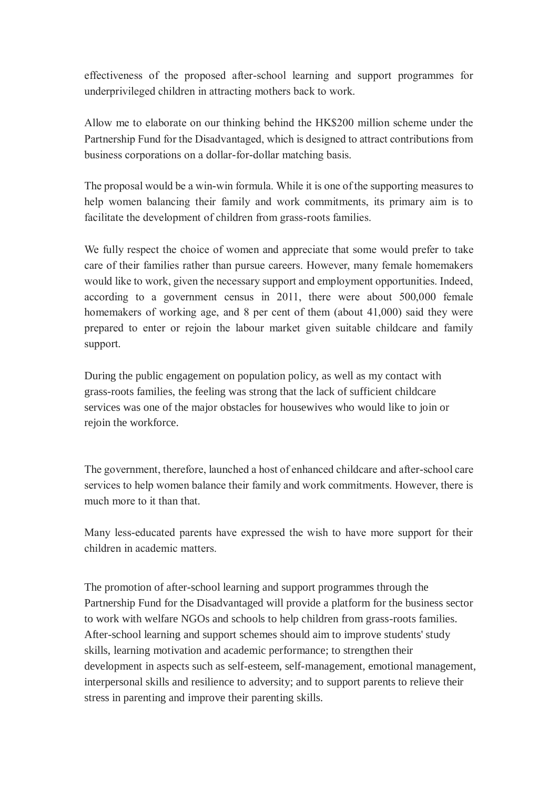effectiveness of the proposed after-school learning and support programmes for underprivileged children in attracting mothers back to work.

Allow me to elaborate on our thinking behind the HK\$200 million scheme under the Partnership Fund for the Disadvantaged, which is designed to attract contributions from business corporations on a dollar-for-dollar matching basis.

The proposal would be a win-win formula. While it is one of the supporting measures to help women balancing their family and work commitments, its primary aim is to facilitate the development of children from grass-roots families.

We fully respect the choice of women and appreciate that some would prefer to take care of their families rather than pursue careers. However, many female homemakers would like to work, given the necessary support and employment opportunities. Indeed, according to a government census in 2011, there were about 500,000 female homemakers of working age, and 8 per cent of them (about 41,000) said they were prepared to enter or rejoin the labour market given suitable childcare and family support.

During the public engagement on population policy, as well as my contact with grass-roots families, the feeling was strong that the lack of sufficient childcare services was one of the major obstacles for housewives who would like to join or rejoin the workforce.

The government, therefore, launched a host of enhanced childcare and after-school care services to help women balance their family and work commitments. However, there is much more to it than that.

Many less-educated parents have expressed the wish to have more support for their children in academic matters.

The promotion of after-school learning and support programmes through the Partnership Fund for the Disadvantaged will provide a platform for the business sector to work with welfare NGOs and schools to help children from grass-roots families. After-school learning and support schemes should aim to improve students' study skills, learning motivation and academic performance; to strengthen their development in aspects such as self-esteem, self-management, emotional management, interpersonal skills and resilience to adversity; and to support parents to relieve their stress in parenting and improve their parenting skills.